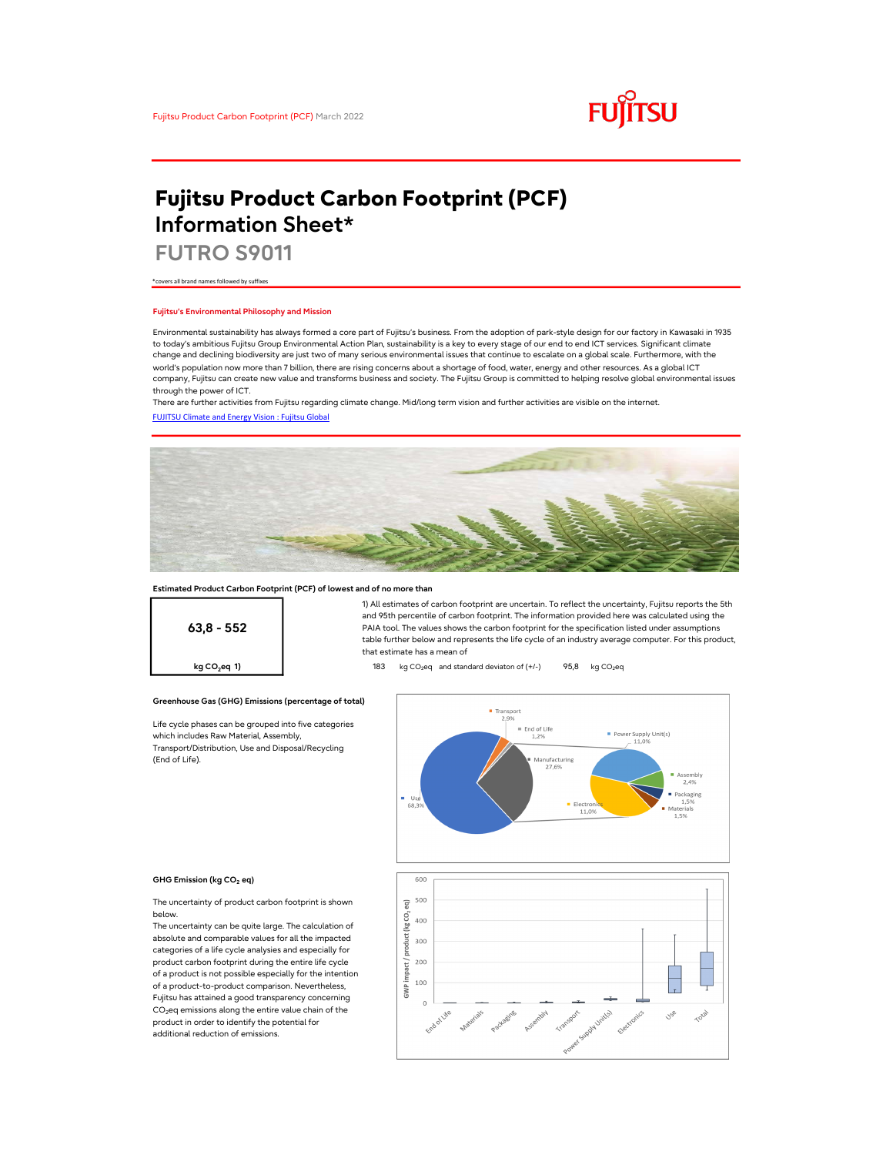

# Fujitsu Product Carbon Footprint (PCF) Information Sheet\*

FUTRO S9011

\*covers all brand names followed by suffixes

### Fujitsu's Environmental Philosophy and Mission

Environmental sustainability has always formed a core part of Fujitsu's business. From the adoption of park-style design for our factory in Kawasaki in 1935 to today's ambitious Fujitsu Group Environmental Action Plan, sustainability is a key to every stage of our end to end ICT services. Significant climate change and declining biodiversity are just two of many serious environmental issues that continue to escalate on a global scale. Furthermore, with the world's population now more than 7 billion, there are rising concerns about a shortage of food, water, energy and other resources. As a global ICT company, Fujitsu can create new value and transforms business and society. The Fujitsu Group is committed to helping resolve global environmental issues through the power of ICT.

FUJITSU Climate and Energy Vision : Fujitsu Global There are further activities from Fujitsu regarding climate change. Mid/long term vision and further activities are visible on the internet.



### Estimated Product Carbon Footprint (PCF) of lowest and of no more than

63,8 - 552

1) All estimates of carbon footprint are uncertain. To reflect the uncertainty, Fujitsu reports the 5th and 95th percentile of carbon footprint. The information provided here was calculated using the PAIA tool. The values shows the carbon footprint for the specification listed under assumptions table further below and represents the life cycle of an industry average computer. For this product, that estimate has a mean of

**kg CO<sub>2</sub>eq 1)** 183 kg CO<sub>2</sub>eq and standard deviaton of  $(+/-)$  95,8 kg CO<sub>2</sub>eq

### Greenhouse Gas (GHG) Emissions (percentage of total)

Life cycle phases can be grouped into five categories which includes Raw Material, Assembly, Transport/Distribution, Use and Disposal/Recycling (End of Life).



#### GHG Emission (kg CO<sub>2</sub> eq)

The uncertainty of product carbon footprint is shown below.

The uncertainty can be quite large. The calculation of absolute and comparable values for all the impacted categories of a life cycle analysies and especially for product carbon footprint during the entire life cycle of a product is not possible especially for the intention of a product-to-product comparison. Nevertheless, Fujitsu has attained a good transparency concerning  $CO<sub>2</sub>$ eq emissions along the entire value chain of the product in order to identify the potential for additional reduction of emissions.